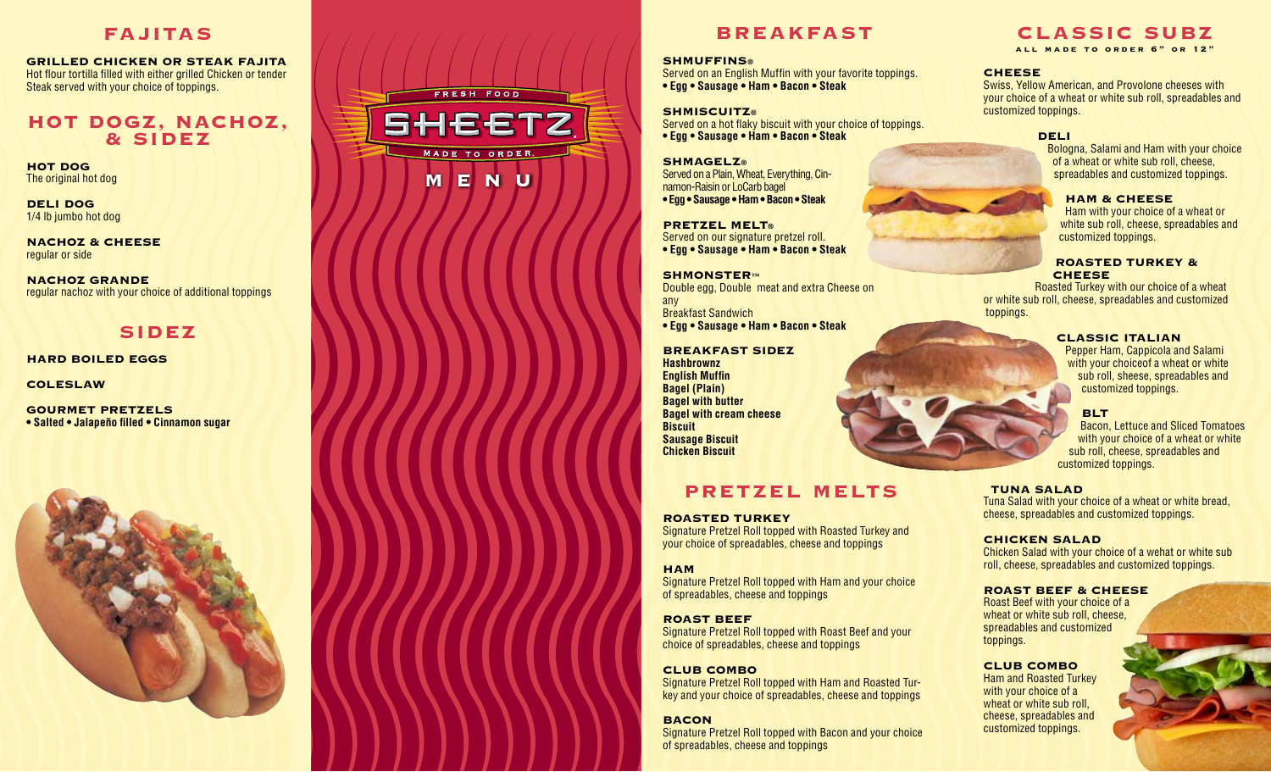# **FAJITAS**

**GRILLED CHICKEN OR STEAK FAJITA** Hot flour tortilla filled with either grilled Chicken or tender Steak served with your choice of toppings.

## **HOT DOGZ, NACHOZ, & SIDEZ**

**HOT DOG** The original hot dog

**DELI DOG** 1/4 lb jumbo hot dog

**NACHOZ & CHEESE** regular or side

#### **NACHOZ GRANDE**

regular nachoz with your choice of additional toppings

# **SIDEZ**

**HARD BOILED EGGS**

**COLESLAW**

**GOURMET PRETZELS • Salted • Jalapeño filled • Cinnamon sugar** 





# **BREAKFAST**

**SHMUFFINS ®**

Served on an English Muffin with your favorite toppings. **• Egg • Sausage • Ham • Bacon • Steak**

**SHMISCUITZ ®** Served on a hot flaky biscuit with your choice of toppings. **• Egg • Sausage • Ham • Bacon • Steak**

**SHMAGELZ ®** Served on a Plain, Wheat, Everything, Cinnamon-Raisin or LoCarb bagel **• Egg • Sausage • Ham • Bacon • Steak**

**PRETZEL MELT ®** Served on our signature pretzel roll. **• Egg • Sausage • Ham • Bacon • Steak**

**SHMONSTER ™** Double egg, Double meat and extra Cheese on any Breakfast Sandwich **• Egg • Sausage • Ham • Bacon • Steak**

#### **BREAKFAST SIDEZ Hashbrownz English Muffin Bagel (Plain) Bagel with butter**

**Bagel with cream cheese Biscuit Sausage Biscuit Chicken Biscuit**

# **PRETZEL MELTS**

**ROASTED TURKEY** Signature Pretzel Roll topped with Roasted Turkey and your choice of spreadables, cheese and toppings

**HAM** Signature Pretzel Roll topped with Ham and your choice of spreadables, cheese and toppings

**ROAST BEEF** Signature Pretzel Roll topped with Roast Beef and your choice of spreadables, cheese and toppings

#### **CLUB COMBO** Signature Pretzel Roll topped with Ham and Roasted Turkey and your choice of spreadables, cheese and toppings

## **BACON**

Signature Pretzel Roll topped with Bacon and your choice of spreadables, cheese and toppings

# **CLASSIC SUBZ**

**all made to order 6" or 12"**

## **CHEESE**

Swiss, Yellow American, and Provolone cheeses with your choice of a wheat or white sub roll, spreadables and customized toppings.

## **DELI**

Bologna, Salami and Ham with your choice of a wheat or white sub roll, cheese, spreadables and customized toppings.

## **HAM & CHEESE**

Ham with your choice of a wheat or white sub roll, cheese, spreadables and customized toppings.

### **ROASTED TURKEY & CHEESE**

Roasted Turkey with our choice of a wheat or white sub roll, cheese, spreadables and customized toppings.

## **CLASSIC ITALIAN**

Pepper Ham, Cappicola and Salami with your choiceof a wheat or white sub roll, sheese, spreadables and customized toppings.

## **BLT**

Bacon, Lettuce and Sliced Tomatoes with your choice of a wheat or white sub roll, cheese, spreadables and customized toppings.

## **TUNA SALAD**

Tuna Salad with your choice of a wheat or white bread, cheese, spreadables and customized toppings.

### **CHICKEN SALAD**

Chicken Salad with your choice of a wehat or white sub roll, cheese, spreadables and customized toppings.

### **ROAST BEEF & CHEESE**

Roast Beef with your choice of a wheat or white sub roll, cheese. spreadables and customized toppings.

## **CLUB COMBO**

Ham and Roasted Turkey with your choice of a wheat or white sub roll, cheese, spreadables and customized toppings.